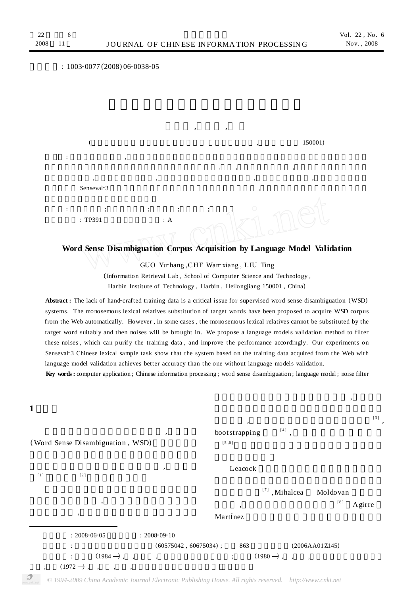**1**

,

## $: 1003 - 0077 (2008) 06 - 0038 - 05$ , ,  $($   $150001)$  $\mathbf{r}$  , and  $\mathbf{r}$ , , , , , , ,  $Senseval-3$ , :  $\hspace{1.6cm} ; \hspace{1.6cm} ; \hspace{1.6cm} ; \hspace{1.6cm} ; \hspace{1.6cm} ; \hspace{1.6cm} ; \hspace{1.6cm} ; \hspace{1.6cm}$ : TP391 : A

## **Word Sense Disambiguation Corpus Acquisition by Language Model Validation**

GUO Yu-hang , CHE Wan-xiang , LIU Ting

(Information Retrieval Lab , School of Computer Science and Technology , Harbin Institute of Technology , Harbin , Heilongjiang 150001 , China)

Abstract: The lack of hand-crafted training data is a critical issue for supervised word sense disambiguation (WSD) systems. The monosemous lexical relatives substitution of target words have been proposed to acquire WSD corpus from the Web automatically. However , in some cases , the monosemous lexical relatives cannot be substituted by the target word suitably and then noises will be brought in. We propose a language models validation method to filter these noises , which can purify the training data , and improve the performance accordingly. Our experiments on Senseval-3 Chinese lexical sample task show that the system based on the training data acquired from the Web with language model validation achieves better accuracy than the one without language models validation.

**Key words :** computer application ; Chinese information processing ; word sense disambiguation ; language model ; noise filter

 $: 2008 - 06 - 05$   $: 2008 - 09 - 10$  $(60575042, 60675034)$ ; 863 (2006AA01Z145) : (1984 —) , , , ; (1980 —) , , ,  $(1972 \rightarrow$ , , (Word Sense Disambiguation , WSD) ,  $[1]$  [2] , , ,  $^{\left[ 3\right] }\ ,$ bootstrapping  $\left[ \begin{smallmatrix} 4 \end{smallmatrix} \right]$ , [5 ,6 ] Leacock <sup>[7]</sup>, Mihalcea Moldovan ,  $[8]$  Agirre Martínez

*© 1994-2009 China Academic Journal Electronic Publishing House. All rights reserved. http://www.cnki.net*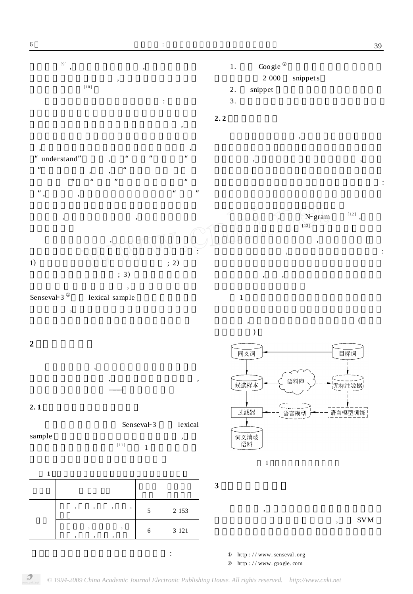:



http : / / www. senseval. org http : / / www. google. com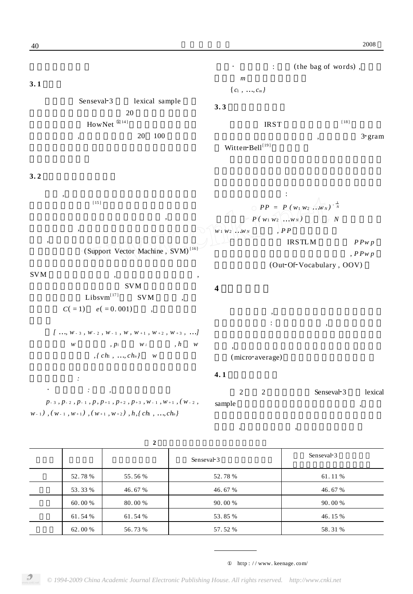

| $\overline{2}$ |         |         |            |            |
|----------------|---------|---------|------------|------------|
|                |         |         | Senseval-3 | Senseval-3 |
|                | 52.78 % | 55.56%  | 52.78 %    | 61.11 %    |
|                | 53.33 % | 46.67 % | 46.67 %    | 46.67 %    |
|                | 60.00 % | 80.00 % | 90.00 %    | 90.00 %    |
|                | 61.54%  | 61.54 % | 53.85 %    | 46.15 %    |
|                | 62.00 % | 56.73 % | 57.52 %    | 58.31 %    |
|                |         |         |            |            |

http : / / www. keenage. com/

, ,

40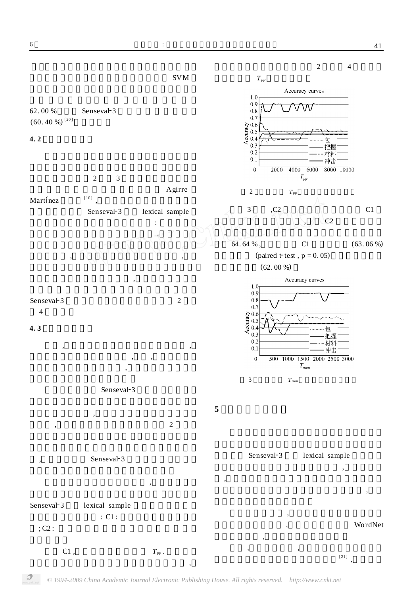